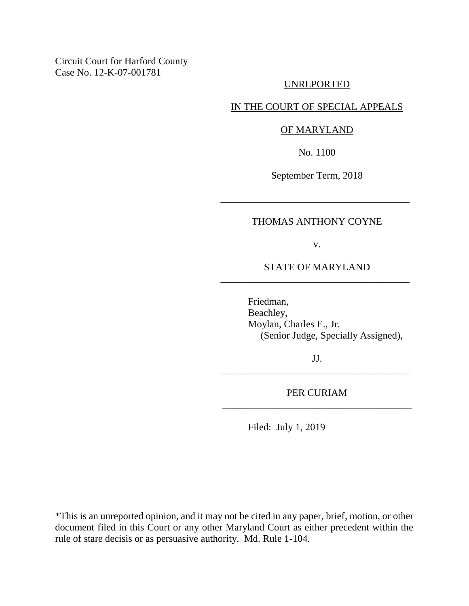Circuit Court for Harford County Case No. 12-K-07-001781

## UNREPORTED

## IN THE COURT OF SPECIAL APPEALS

## OF MARYLAND

No. 1100

September Term, 2018

\_\_\_\_\_\_\_\_\_\_\_\_\_\_\_\_\_\_\_\_\_\_\_\_\_\_\_\_\_\_\_\_\_\_\_\_\_\_

## THOMAS ANTHONY COYNE

v.

STATE OF MARYLAND \_\_\_\_\_\_\_\_\_\_\_\_\_\_\_\_\_\_\_\_\_\_\_\_\_\_\_\_\_\_\_\_\_\_\_\_\_\_

> Friedman, Beachley, Moylan, Charles E., Jr. (Senior Judge, Specially Assigned),

JJ. \_\_\_\_\_\_\_\_\_\_\_\_\_\_\_\_\_\_\_\_\_\_\_\_\_\_\_\_\_\_\_\_\_\_\_\_\_\_

PER CURIAM \_\_\_\_\_\_\_\_\_\_\_\_\_\_\_\_\_\_\_\_\_\_\_\_\_\_\_\_\_\_\_\_\_\_\_\_\_\_

Filed: July 1, 2019

\*This is an unreported opinion, and it may not be cited in any paper, brief, motion, or other document filed in this Court or any other Maryland Court as either precedent within the rule of stare decisis or as persuasive authority. Md. Rule 1-104.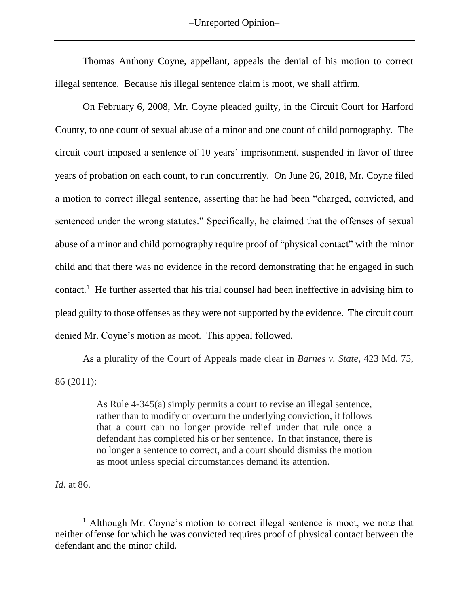–Unreported Opinion–

Thomas Anthony Coyne, appellant, appeals the denial of his motion to correct illegal sentence. Because his illegal sentence claim is moot, we shall affirm.

On February 6, 2008, Mr. Coyne pleaded guilty, in the Circuit Court for Harford County, to one count of sexual abuse of a minor and one count of child pornography. The circuit court imposed a sentence of 10 years' imprisonment, suspended in favor of three years of probation on each count, to run concurrently. On June 26, 2018, Mr. Coyne filed a motion to correct illegal sentence, asserting that he had been "charged, convicted, and sentenced under the wrong statutes." Specifically, he claimed that the offenses of sexual abuse of a minor and child pornography require proof of "physical contact" with the minor child and that there was no evidence in the record demonstrating that he engaged in such contact.<sup>1</sup> He further asserted that his trial counsel had been ineffective in advising him to plead guilty to those offenses as they were not supported by the evidence. The circuit court denied Mr. Coyne's motion as moot. This appeal followed.

As a plurality of the Court of Appeals made clear in *Barnes v. State*, 423 Md. 75, 86 (2011):

> As Rule 4-345(a) simply permits a court to revise an illegal sentence, rather than to modify or overturn the underlying conviction, it follows that a court can no longer provide relief under that rule once a defendant has completed his or her sentence. In that instance, there is no longer a sentence to correct, and a court should dismiss the motion as moot unless special circumstances demand its attention.

*Id*. at 86.

 $\overline{a}$ 

<sup>&</sup>lt;sup>1</sup> Although Mr. Coyne's motion to correct illegal sentence is moot, we note that neither offense for which he was convicted requires proof of physical contact between the defendant and the minor child.